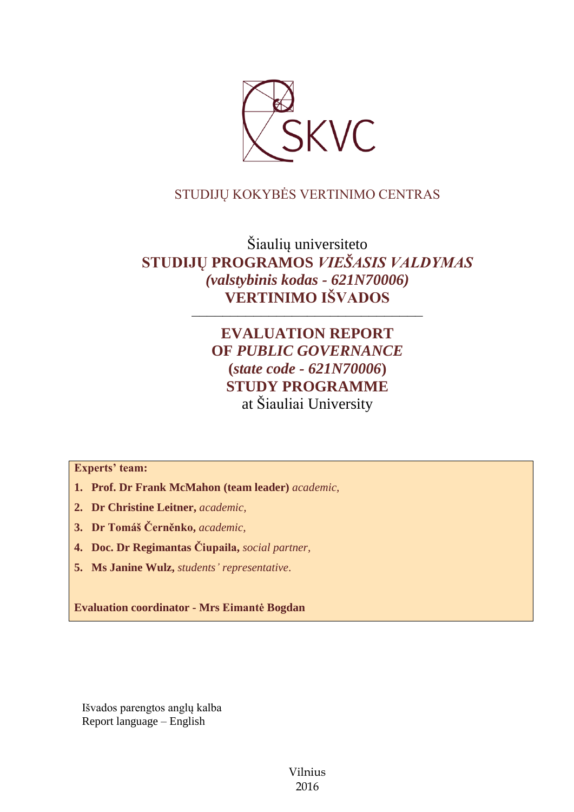

## STUDIJŲ KOKYBĖS VERTINIMO CENTRAS

Šiaulių universiteto **STUDIJŲ PROGRAMOS** *VIEŠASIS VALDYMAS (valstybinis kodas - 621N70006)* **VERTINIMO IŠVADOS**

––––––––––––––––––––––––––––––

# **EVALUATION REPORT OF** *PUBLIC GOVERNANCE* **(***state code - 621N70006***) STUDY PROGRAMME** at Šiauliai University

**Experts' team:** 

- **1. Prof. Dr Frank McMahon (team leader)** *academic,*
- **2. Dr Christine Leitner,** *academic,*
- **3. Dr Tomáš Černěnko,** *academic,*
- **4. Doc. Dr Regimantas Čiupaila,** *social partner,*
- **5. Ms Janine Wulz,** *students' representative*.

**Evaluation coordinator - Mrs Eimantė Bogdan**

Išvados parengtos anglų kalba Report language – English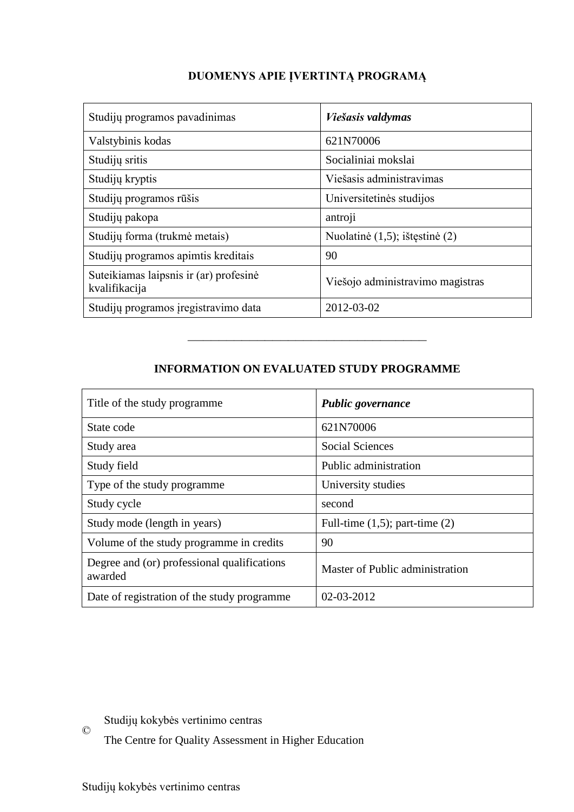## **DUOMENYS APIE ĮVERTINTĄ PROGRAMĄ**

| Studijų programos pavadinimas                           | <i>Viešasis valdymas</i>            |
|---------------------------------------------------------|-------------------------------------|
| Valstybinis kodas                                       | 621N70006                           |
| Studijų sritis                                          | Socialiniai mokslai                 |
| Studijų kryptis                                         | Viešasis administravimas            |
| Studijų programos rūšis                                 | Universitetinės studijos            |
| Studijų pakopa                                          | antroji                             |
| Studijų forma (trukmė metais)                           | Nuolatinė $(1,5)$ ; ištęstinė $(2)$ |
| Studijų programos apimtis kreditais                     | 90                                  |
| Suteikiamas laipsnis ir (ar) profesinė<br>kvalifikacija | Viešojo administravimo magistras    |
| Studijų programos įregistravimo data                    | 2012-03-02                          |

## **INFORMATION ON EVALUATED STUDY PROGRAMME**

–––––––––––––––––––––––––––––––

| Title of the study programme.                          | Public governance                   |
|--------------------------------------------------------|-------------------------------------|
| State code                                             | 621N70006                           |
| Study area                                             | <b>Social Sciences</b>              |
| Study field                                            | Public administration               |
| Type of the study programme                            | University studies                  |
| Study cycle                                            | second                              |
| Study mode (length in years)                           | Full-time $(1,5)$ ; part-time $(2)$ |
| Volume of the study programme in credits               | 90                                  |
| Degree and (or) professional qualifications<br>awarded | Master of Public administration     |
| Date of registration of the study programme            | 02-03-2012                          |

© Studijų kokybės vertinimo centras

The Centre for Quality Assessment in Higher Education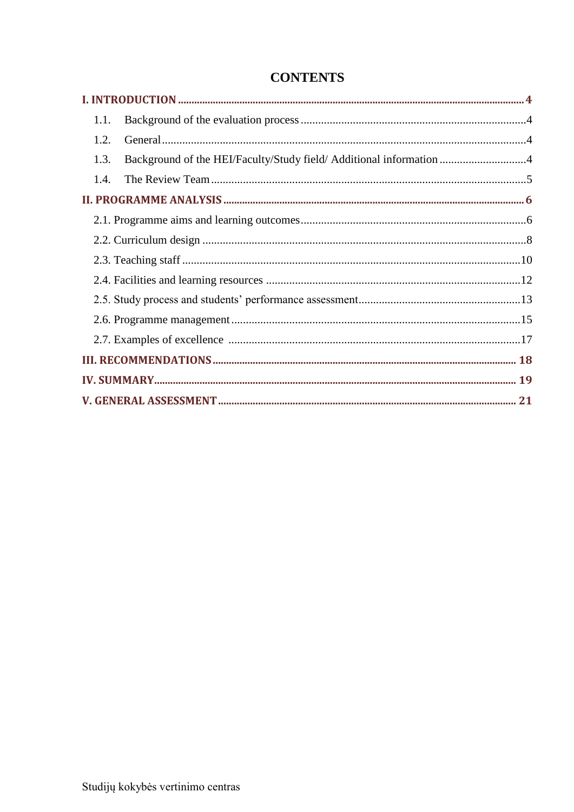| 1.1.                                                                        |  |
|-----------------------------------------------------------------------------|--|
| 1.2.                                                                        |  |
| Background of the HEI/Faculty/Study field/ Additional information 4<br>1.3. |  |
| 1.4.                                                                        |  |
|                                                                             |  |
|                                                                             |  |
|                                                                             |  |
|                                                                             |  |
|                                                                             |  |
|                                                                             |  |
|                                                                             |  |
|                                                                             |  |
|                                                                             |  |
|                                                                             |  |
|                                                                             |  |

# **CONTENTS**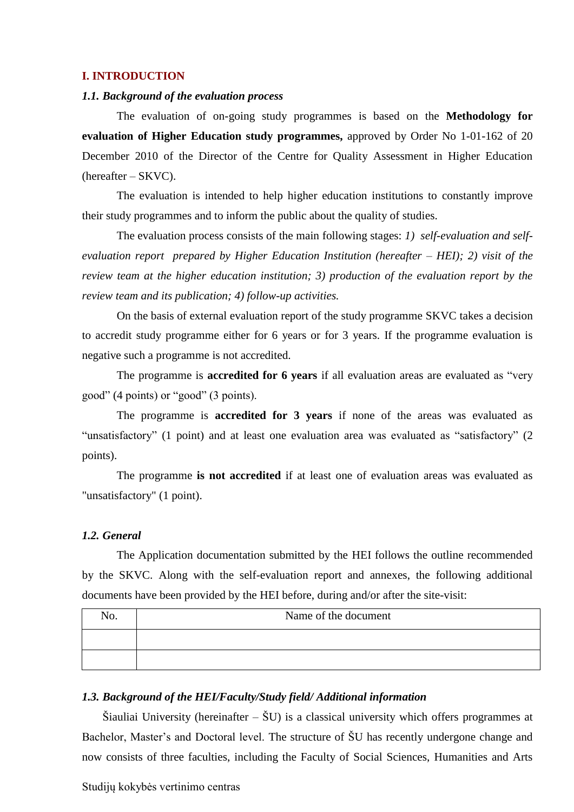#### <span id="page-3-0"></span>**I. INTRODUCTION**

#### <span id="page-3-1"></span>*1.1. Background of the evaluation process*

The evaluation of on-going study programmes is based on the **Methodology for evaluation of Higher Education study programmes,** approved by Order No 1-01-162 of 20 December 2010 of the Director of the Centre for Quality Assessment in Higher Education (hereafter – SKVC).

The evaluation is intended to help higher education institutions to constantly improve their study programmes and to inform the public about the quality of studies.

The evaluation process consists of the main following stages: *1) self-evaluation and selfevaluation report prepared by Higher Education Institution (hereafter – HEI); 2) visit of the review team at the higher education institution; 3) production of the evaluation report by the review team and its publication; 4) follow-up activities.* 

On the basis of external evaluation report of the study programme SKVC takes a decision to accredit study programme either for 6 years or for 3 years. If the programme evaluation is negative such a programme is not accredited.

The programme is **accredited for 6 years** if all evaluation areas are evaluated as "very good" (4 points) or "good" (3 points).

The programme is **accredited for 3 years** if none of the areas was evaluated as "unsatisfactory" (1 point) and at least one evaluation area was evaluated as "satisfactory" (2 points).

The programme **is not accredited** if at least one of evaluation areas was evaluated as "unsatisfactory" (1 point).

#### <span id="page-3-2"></span>*1.2. General*

The Application documentation submitted by the HEI follows the outline recommended by the SKVC. Along with the self-evaluation report and annexes, the following additional documents have been provided by the HEI before, during and/or after the site-visit:

| 'NO. | Name of the document |
|------|----------------------|
|      |                      |
|      |                      |

#### <span id="page-3-3"></span>*1.3. Background of the HEI/Faculty/Study field/ Additional information*

Šiauliai University (hereinafter – ŠU) is a classical university which offers programmes at Bachelor, Master's and Doctoral level. The structure of ŠU has recently undergone change and now consists of three faculties, including the Faculty of Social Sciences, Humanities and Arts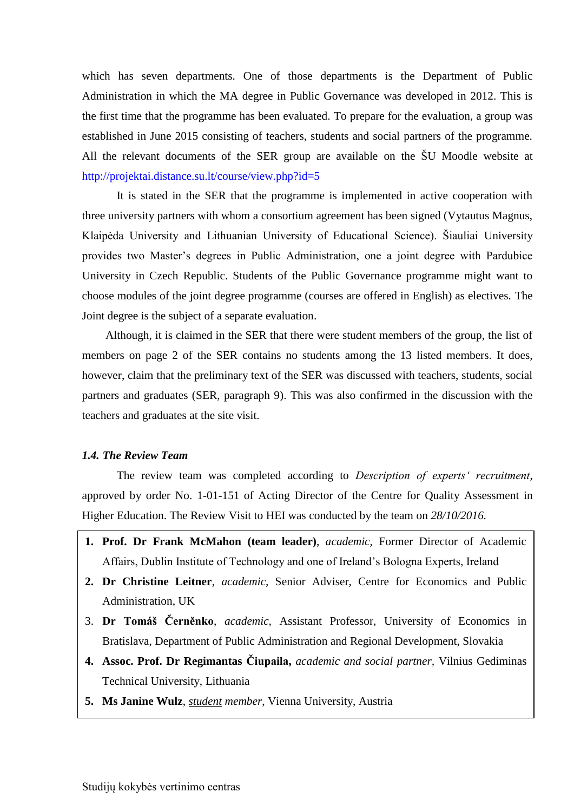which has seven departments. One of those departments is the Department of Public Administration in which the MA degree in Public Governance was developed in 2012. This is the first time that the programme has been evaluated. To prepare for the evaluation, a group was established in June 2015 consisting of teachers, students and social partners of the programme. All the relevant documents of the SER group are available on the ŠU Moodle website at <http://projektai.distance.su.lt/course/view.php?id=5>

It is stated in the SER that the programme is implemented in active cooperation with three university partners with whom a consortium agreement has been signed (Vytautus Magnus, Klaipėda University and Lithuanian University of Educational Science). Šiauliai University provides two Master's degrees in Public Administration, one a joint degree with Pardubice University in Czech Republic. Students of the Public Governance programme might want to choose modules of the joint degree programme (courses are offered in English) as electives. The Joint degree is the subject of a separate evaluation.

Although, it is claimed in the SER that there were student members of the group, the list of members on page 2 of the SER contains no students among the 13 listed members. It does, however, claim that the preliminary text of the SER was discussed with teachers, students, social partners and graduates (SER, paragraph 9). This was also confirmed in the discussion with the teachers and graduates at the site visit.

#### <span id="page-4-0"></span>*1.4. The Review Team*

The review team was completed according to *Description of experts' recruitment*, approved by order No. 1-01-151 of Acting Director of the Centre for Quality Assessment in Higher Education. The Review Visit to HEI was conducted by the team on *28/10/2016.*

- **1. Prof. Dr Frank McMahon (team leader)**, *academic,* Former Director of Academic Affairs, Dublin Institute of Technology and one of Ireland's Bologna Experts, Ireland
- **2. Dr Christine Leitner**, *academic,* Senior Adviser, Centre for Economics and Public Administration, UK
- 3. **Dr Tomáš Černěnko**, *academic*, Assistant Professor, University of Economics in Bratislava, Department of Public Administration and Regional Development, Slovakia
- **4. Assoc. Prof. Dr Regimantas Čiupaila,** *academic and social partner,* Vilnius Gediminas Technical University, Lithuania
- **5. Ms Janine Wulz**, *student member*, Vienna University, Austria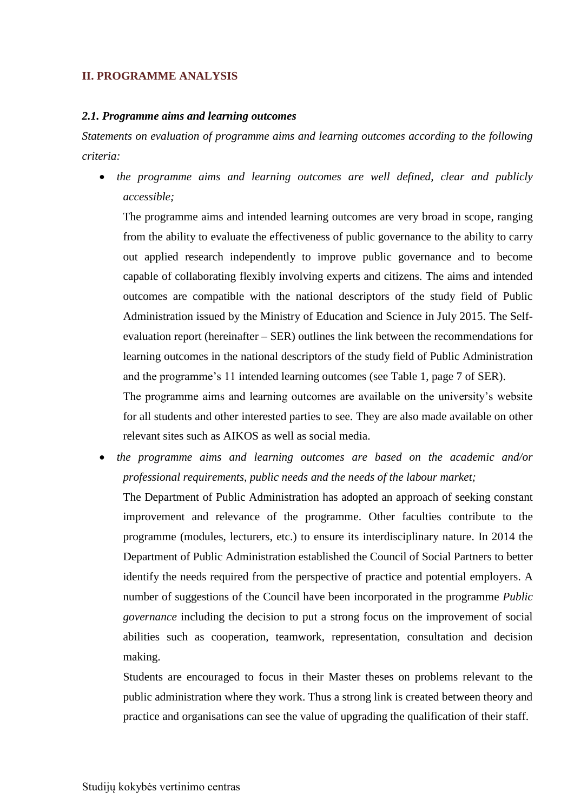## <span id="page-5-0"></span>**II. PROGRAMME ANALYSIS**

#### <span id="page-5-1"></span>*2.1. Programme aims and learning outcomes*

*Statements on evaluation of programme aims and learning outcomes according to the following criteria:*

 *the programme aims and learning outcomes are well defined, clear and publicly accessible;*

The programme aims and intended learning outcomes are very broad in scope, ranging from the ability to evaluate the effectiveness of public governance to the ability to carry out applied research independently to improve public governance and to become capable of collaborating flexibly involving experts and citizens. The aims and intended outcomes are compatible with the national descriptors of the study field of Public Administration issued by the Ministry of Education and Science in July 2015. The Selfevaluation report (hereinafter – SER) outlines the link between the recommendations for learning outcomes in the national descriptors of the study field of Public Administration and the programme's 11 intended learning outcomes (see Table 1, page 7 of SER).

The programme aims and learning outcomes are available on the university's website for all students and other interested parties to see. They are also made available on other relevant sites such as AIKOS as well as social media.

 *the programme aims and learning outcomes are based on the academic and/or professional requirements, public needs and the needs of the labour market;*

The Department of Public Administration has adopted an approach of seeking constant improvement and relevance of the programme. Other faculties contribute to the programme (modules, lecturers, etc.) to ensure its interdisciplinary nature. In 2014 the Department of Public Administration established the Council of Social Partners to better identify the needs required from the perspective of practice and potential employers. A number of suggestions of the Council have been incorporated in the programme *Public governance* including the decision to put a strong focus on the improvement of social abilities such as cooperation, teamwork, representation, consultation and decision making.

Students are encouraged to focus in their Master theses on problems relevant to the public administration where they work. Thus a strong link is created between theory and practice and organisations can see the value of upgrading the qualification of their staff.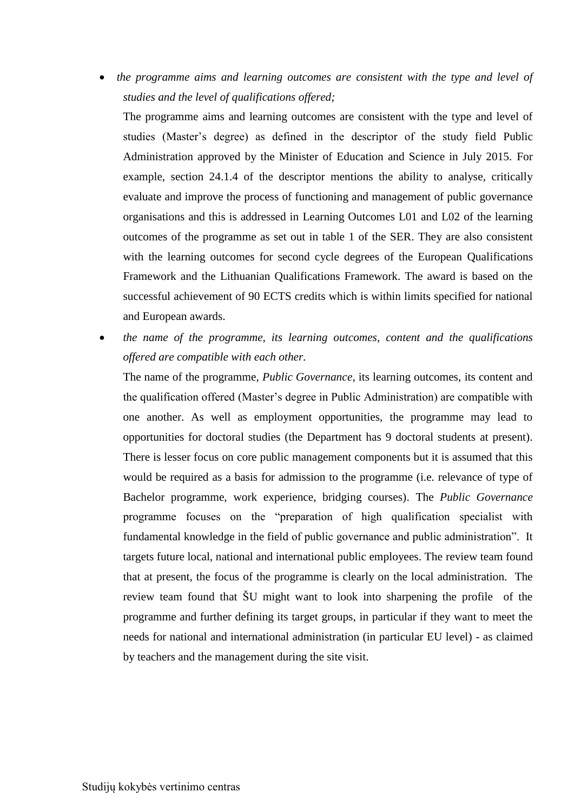*the programme aims and learning outcomes are consistent with the type and level of studies and the level of qualifications offered;*

The programme aims and learning outcomes are consistent with the type and level of studies (Master's degree) as defined in the descriptor of the study field Public Administration approved by the Minister of Education and Science in July 2015. For example, section 24.1.4 of the descriptor mentions the ability to analyse, critically evaluate and improve the process of functioning and management of public governance organisations and this is addressed in Learning Outcomes L01 and L02 of the learning outcomes of the programme as set out in table 1 of the SER. They are also consistent with the learning outcomes for second cycle degrees of the European Qualifications Framework and the Lithuanian Qualifications Framework. The award is based on the successful achievement of 90 ECTS credits which is within limits specified for national and European awards.

 *the name of the programme, its learning outcomes, content and the qualifications offered are compatible with each other.*

The name of the programme, *Public Governance*, its learning outcomes, its content and the qualification offered (Master's degree in Public Administration) are compatible with one another. As well as employment opportunities, the programme may lead to opportunities for doctoral studies (the Department has 9 doctoral students at present). There is lesser focus on core public management components but it is assumed that this would be required as a basis for admission to the programme (i.e. relevance of type of Bachelor programme, work experience, bridging courses). The *Public Governance* programme focuses on the "preparation of high qualification specialist with fundamental knowledge in the field of public governance and public administration". It targets future local, national and international public employees. The review team found that at present, the focus of the programme is clearly on the local administration. The review team found that ŠU might want to look into sharpening the profile of the programme and further defining its target groups, in particular if they want to meet the needs for national and international administration (in particular EU level) - as claimed by teachers and the management during the site visit.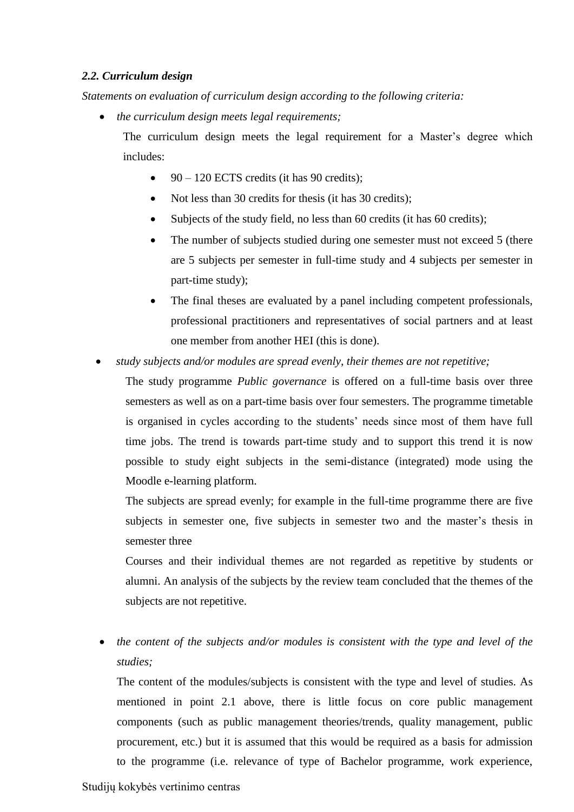#### <span id="page-7-0"></span>*2.2. Curriculum design*

*Statements on evaluation of curriculum design according to the following criteria:*

*the curriculum design meets legal requirements;*

The curriculum design meets the legal requirement for a Master's degree which includes:

- $\bullet$  90 120 ECTS credits (it has 90 credits);
- Not less than 30 credits for thesis (it has 30 credits);
- Subjects of the study field, no less than 60 credits (it has 60 credits);
- The number of subjects studied during one semester must not exceed 5 (there are 5 subjects per semester in full-time study and 4 subjects per semester in part-time study);
- The final theses are evaluated by a panel including competent professionals, professional practitioners and representatives of social partners and at least one member from another HEI (this is done).
- *study subjects and/or modules are spread evenly, their themes are not repetitive;*

The study programme *Public governance* is offered on a full-time basis over three semesters as well as on a part-time basis over four semesters. The programme timetable is organised in cycles according to the students' needs since most of them have full time jobs. The trend is towards part-time study and to support this trend it is now possible to study eight subjects in the semi-distance (integrated) mode using the Moodle e-learning platform.

The subjects are spread evenly; for example in the full-time programme there are five subjects in semester one, five subjects in semester two and the master's thesis in semester three

Courses and their individual themes are not regarded as repetitive by students or alumni. An analysis of the subjects by the review team concluded that the themes of the subjects are not repetitive.

 *the content of the subjects and/or modules is consistent with the type and level of the studies;*

The content of the modules/subjects is consistent with the type and level of studies. As mentioned in point 2.1 above, there is little focus on core public management components (such as public management theories/trends, quality management, public procurement, etc.) but it is assumed that this would be required as a basis for admission to the programme (i.e. relevance of type of Bachelor programme, work experience,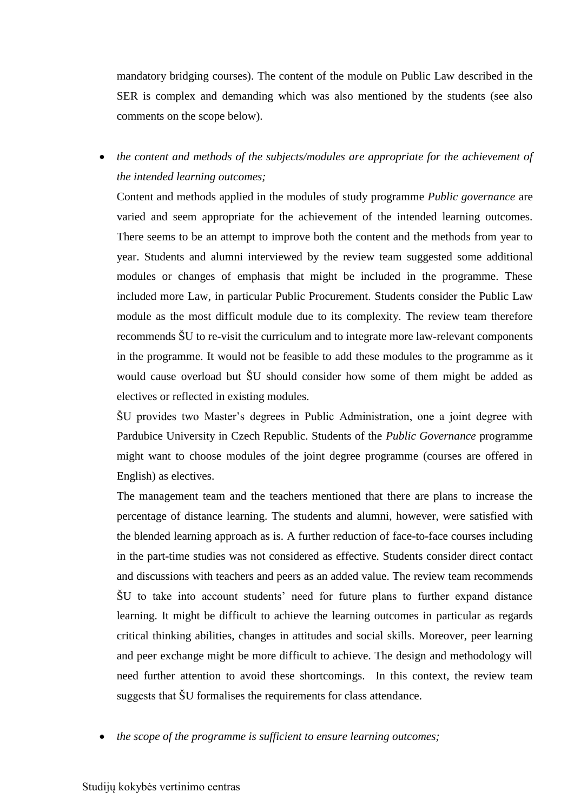mandatory bridging courses). The content of the module on Public Law described in the SER is complex and demanding which was also mentioned by the students (see also comments on the scope below).

 *the content and methods of the subjects/modules are appropriate for the achievement of the intended learning outcomes;*

Content and methods applied in the modules of study programme *Public governance* are varied and seem appropriate for the achievement of the intended learning outcomes. There seems to be an attempt to improve both the content and the methods from year to year. Students and alumni interviewed by the review team suggested some additional modules or changes of emphasis that might be included in the programme. These included more Law, in particular Public Procurement. Students consider the Public Law module as the most difficult module due to its complexity. The review team therefore recommends ŠU to re-visit the curriculum and to integrate more law-relevant components in the programme. It would not be feasible to add these modules to the programme as it would cause overload but ŠU should consider how some of them might be added as electives or reflected in existing modules.

ŠU provides two Master's degrees in Public Administration, one a joint degree with Pardubice University in Czech Republic. Students of the *Public Governance* programme might want to choose modules of the joint degree programme (courses are offered in English) as electives.

The management team and the teachers mentioned that there are plans to increase the percentage of distance learning. The students and alumni, however, were satisfied with the blended learning approach as is. A further reduction of face-to-face courses including in the part-time studies was not considered as effective. Students consider direct contact and discussions with teachers and peers as an added value. The review team recommends ŠU to take into account students' need for future plans to further expand distance learning. It might be difficult to achieve the learning outcomes in particular as regards critical thinking abilities, changes in attitudes and social skills. Moreover, peer learning and peer exchange might be more difficult to achieve. The design and methodology will need further attention to avoid these shortcomings. In this context, the review team suggests that ŠU formalises the requirements for class attendance.

*the scope of the programme is sufficient to ensure learning outcomes;*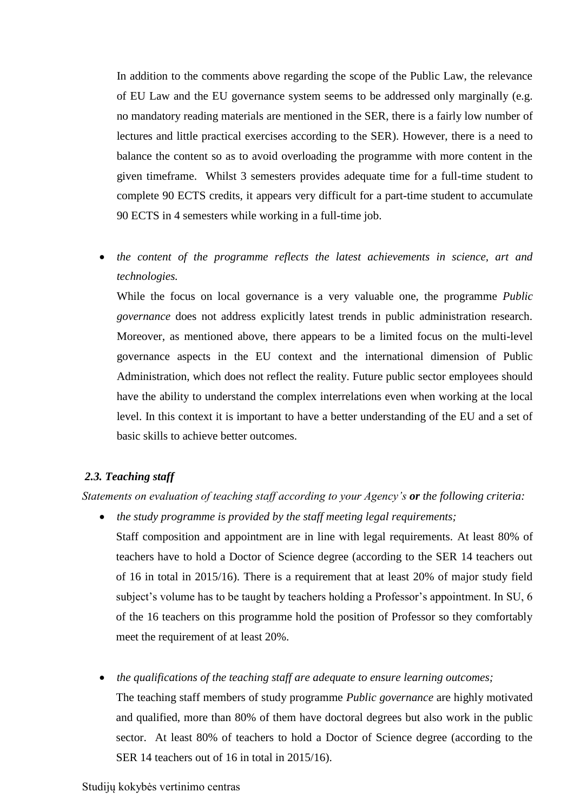In addition to the comments above regarding the scope of the Public Law, the relevance of EU Law and the EU governance system seems to be addressed only marginally (e.g. no mandatory reading materials are mentioned in the SER, there is a fairly low number of lectures and little practical exercises according to the SER). However, there is a need to balance the content so as to avoid overloading the programme with more content in the given timeframe. Whilst 3 semesters provides adequate time for a full-time student to complete 90 ECTS credits, it appears very difficult for a part-time student to accumulate 90 ECTS in 4 semesters while working in a full-time job.

 *the content of the programme reflects the latest achievements in science, art and technologies.*

While the focus on local governance is a very valuable one, the programme *Public governance* does not address explicitly latest trends in public administration research. Moreover, as mentioned above, there appears to be a limited focus on the multi-level governance aspects in the EU context and the international dimension of Public Administration, which does not reflect the reality. Future public sector employees should have the ability to understand the complex interrelations even when working at the local level. In this context it is important to have a better understanding of the EU and a set of basic skills to achieve better outcomes.

## <span id="page-9-0"></span>*2.3. Teaching staff*

*Statements on evaluation of teaching staff according to your Agency's or the following criteria:*

*the study programme is provided by the staff meeting legal requirements;*

Staff composition and appointment are in line with legal requirements. At least 80% of teachers have to hold a Doctor of Science degree (according to the SER 14 teachers out of 16 in total in 2015/16). There is a requirement that at least 20% of major study field subject's volume has to be taught by teachers holding a Professor's appointment. In SU, 6 of the 16 teachers on this programme hold the position of Professor so they comfortably meet the requirement of at least 20%.

*the qualifications of the teaching staff are adequate to ensure learning outcomes;*

The teaching staff members of study programme *Public governance* are highly motivated and qualified, more than 80% of them have doctoral degrees but also work in the public sector. At least 80% of teachers to hold a Doctor of Science degree (according to the SER 14 teachers out of 16 in total in 2015/16).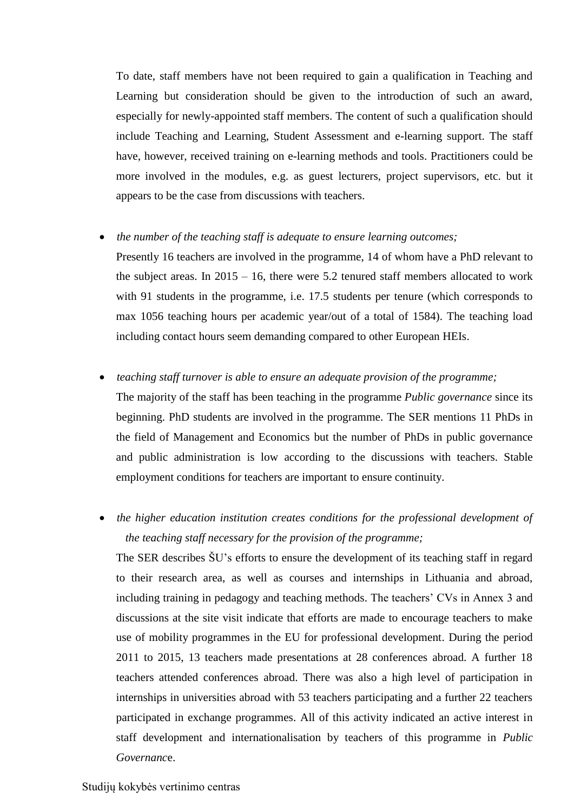To date, staff members have not been required to gain a qualification in Teaching and Learning but consideration should be given to the introduction of such an award, especially for newly-appointed staff members. The content of such a qualification should include Teaching and Learning, Student Assessment and e-learning support. The staff have, however, received training on e-learning methods and tools. Practitioners could be more involved in the modules, e.g. as guest lecturers, project supervisors, etc. but it appears to be the case from discussions with teachers.

## *the number of the teaching staff is adequate to ensure learning outcomes;*

Presently 16 teachers are involved in the programme, 14 of whom have a PhD relevant to the subject areas. In  $2015 - 16$ , there were 5.2 tenured staff members allocated to work with 91 students in the programme, i.e. 17.5 students per tenure (which corresponds to max 1056 teaching hours per academic year/out of a total of 1584). The teaching load including contact hours seem demanding compared to other European HEIs.

#### *teaching staff turnover is able to ensure an adequate provision of the programme;*

The majority of the staff has been teaching in the programme *Public governance* since its beginning. PhD students are involved in the programme. The SER mentions 11 PhDs in the field of Management and Economics but the number of PhDs in public governance and public administration is low according to the discussions with teachers. Stable employment conditions for teachers are important to ensure continuity.

# *the higher education institution creates conditions for the professional development of the teaching staff necessary for the provision of the programme;*

The SER describes ŠU's efforts to ensure the development of its teaching staff in regard to their research area, as well as courses and internships in Lithuania and abroad, including training in pedagogy and teaching methods. The teachers' CVs in Annex 3 and discussions at the site visit indicate that efforts are made to encourage teachers to make use of mobility programmes in the EU for professional development. During the period 2011 to 2015, 13 teachers made presentations at 28 conferences abroad. A further 18 teachers attended conferences abroad. There was also a high level of participation in internships in universities abroad with 53 teachers participating and a further 22 teachers participated in exchange programmes. All of this activity indicated an active interest in staff development and internationalisation by teachers of this programme in *Public Governanc*e.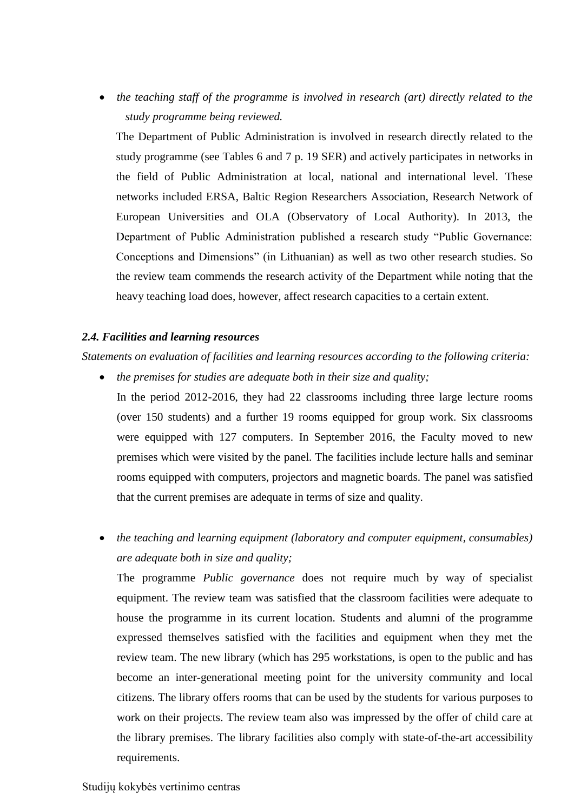*the teaching staff of the programme is involved in research (art) directly related to the study programme being reviewed.*

The Department of Public Administration is involved in research directly related to the study programme (see Tables 6 and 7 p. 19 SER) and actively participates in networks in the field of Public Administration at local, national and international level. These networks included ERSA, Baltic Region Researchers Association, Research Network of European Universities and OLA (Observatory of Local Authority). In 2013, the Department of Public Administration published a research study "Public Governance: Conceptions and Dimensions" (in Lithuanian) as well as two other research studies. So the review team commends the research activity of the Department while noting that the heavy teaching load does, however, affect research capacities to a certain extent.

#### <span id="page-11-0"></span>*2.4. Facilities and learning resources*

*Statements on evaluation of facilities and learning resources according to the following criteria:*

*the premises for studies are adequate both in their size and quality;*

In the period 2012-2016, they had 22 classrooms including three large lecture rooms (over 150 students) and a further 19 rooms equipped for group work. Six classrooms were equipped with 127 computers. In September 2016, the Faculty moved to new premises which were visited by the panel. The facilities include lecture halls and seminar rooms equipped with computers, projectors and magnetic boards. The panel was satisfied that the current premises are adequate in terms of size and quality.

 *the teaching and learning equipment (laboratory and computer equipment, consumables) are adequate both in size and quality;*

The programme *Public governance* does not require much by way of specialist equipment. The review team was satisfied that the classroom facilities were adequate to house the programme in its current location. Students and alumni of the programme expressed themselves satisfied with the facilities and equipment when they met the review team. The new library (which has 295 workstations, is open to the public and has become an inter-generational meeting point for the university community and local citizens. The library offers rooms that can be used by the students for various purposes to work on their projects. The review team also was impressed by the offer of child care at the library premises. The library facilities also comply with state-of-the-art accessibility requirements.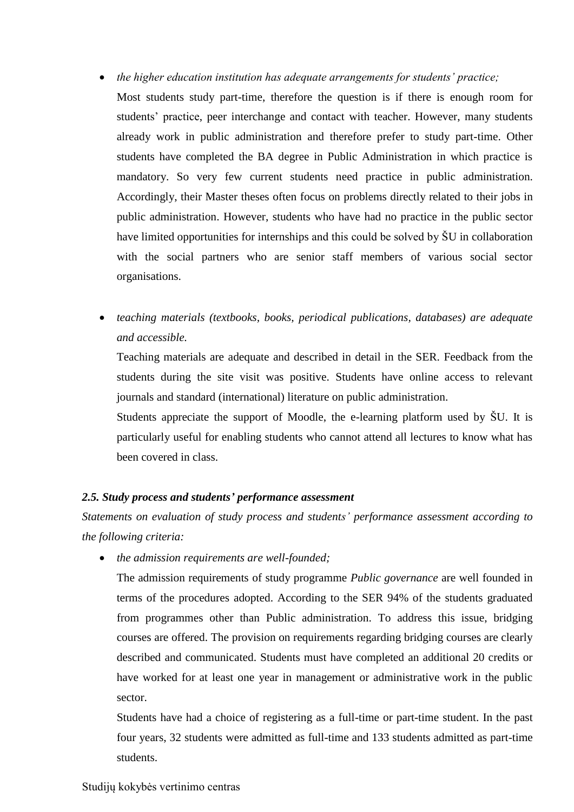- *the higher education institution has adequate arrangements for students' practice;* Most students study part-time, therefore the question is if there is enough room for students' practice, peer interchange and contact with teacher. However, many students already work in public administration and therefore prefer to study part-time. Other students have completed the BA degree in Public Administration in which practice is mandatory. So very few current students need practice in public administration. Accordingly, their Master theses often focus on problems directly related to their jobs in public administration. However, students who have had no practice in the public sector have limited opportunities for internships and this could be solved by ŠU in collaboration with the social partners who are senior staff members of various social sector organisations.
- *teaching materials (textbooks, books, periodical publications, databases) are adequate and accessible.*

Teaching materials are adequate and described in detail in the SER. Feedback from the students during the site visit was positive. Students have online access to relevant journals and standard (international) literature on public administration.

Students appreciate the support of Moodle, the e-learning platform used by ŠU. It is particularly useful for enabling students who cannot attend all lectures to know what has been covered in class.

## <span id="page-12-0"></span>*2.5. Study process and students' performance assessment*

*Statements on evaluation of study process and students' performance assessment according to the following criteria:*

*the admission requirements are well-founded;*

The admission requirements of study programme *Public governance* are well founded in terms of the procedures adopted. According to the SER 94% of the students graduated from programmes other than Public administration. To address this issue, bridging courses are offered. The provision on requirements regarding bridging courses are clearly described and communicated. Students must have completed an additional 20 credits or have worked for at least one year in management or administrative work in the public sector.

Students have had a choice of registering as a full-time or part-time student. In the past four years, 32 students were admitted as full-time and 133 students admitted as part-time students.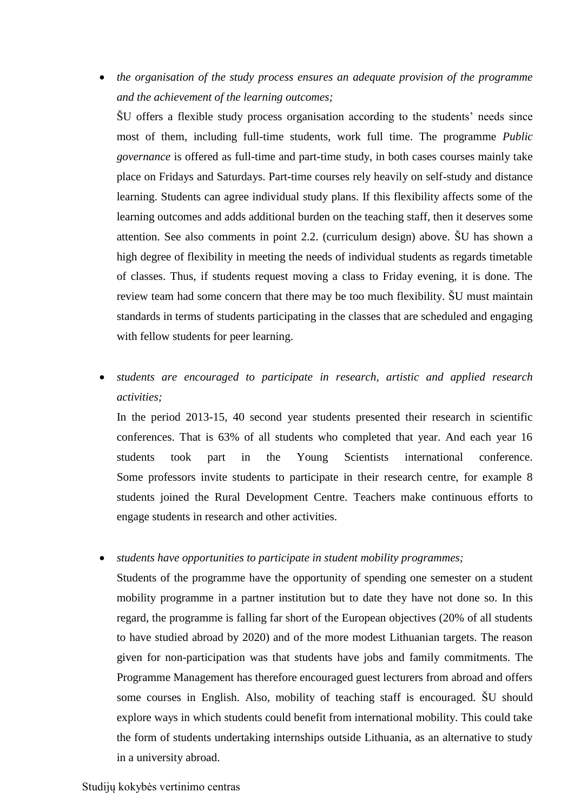*the organisation of the study process ensures an adequate provision of the programme and the achievement of the learning outcomes;*

ŠU offers a flexible study process organisation according to the students' needs since most of them, including full-time students, work full time. The programme *Public governance* is offered as full-time and part-time study, in both cases courses mainly take place on Fridays and Saturdays. Part-time courses rely heavily on self-study and distance learning. Students can agree individual study plans. If this flexibility affects some of the learning outcomes and adds additional burden on the teaching staff, then it deserves some attention. See also comments in point 2.2. (curriculum design) above. ŠU has shown a high degree of flexibility in meeting the needs of individual students as regards timetable of classes. Thus, if students request moving a class to Friday evening, it is done. The review team had some concern that there may be too much flexibility. ŠU must maintain standards in terms of students participating in the classes that are scheduled and engaging with fellow students for peer learning.

 *students are encouraged to participate in research, artistic and applied research activities;*

In the period 2013-15, 40 second year students presented their research in scientific conferences. That is 63% of all students who completed that year. And each year 16 students took part in the Young Scientists international conference. Some professors invite students to participate in their research centre, for example 8 students joined the Rural Development Centre. Teachers make continuous efforts to engage students in research and other activities.

*students have opportunities to participate in student mobility programmes;*

Students of the programme have the opportunity of spending one semester on a student mobility programme in a partner institution but to date they have not done so. In this regard, the programme is falling far short of the European objectives (20% of all students to have studied abroad by 2020) and of the more modest Lithuanian targets. The reason given for non-participation was that students have jobs and family commitments. The Programme Management has therefore encouraged guest lecturers from abroad and offers some courses in English. Also, mobility of teaching staff is encouraged. ŠU should explore ways in which students could benefit from international mobility. This could take the form of students undertaking internships outside Lithuania, as an alternative to study in a university abroad.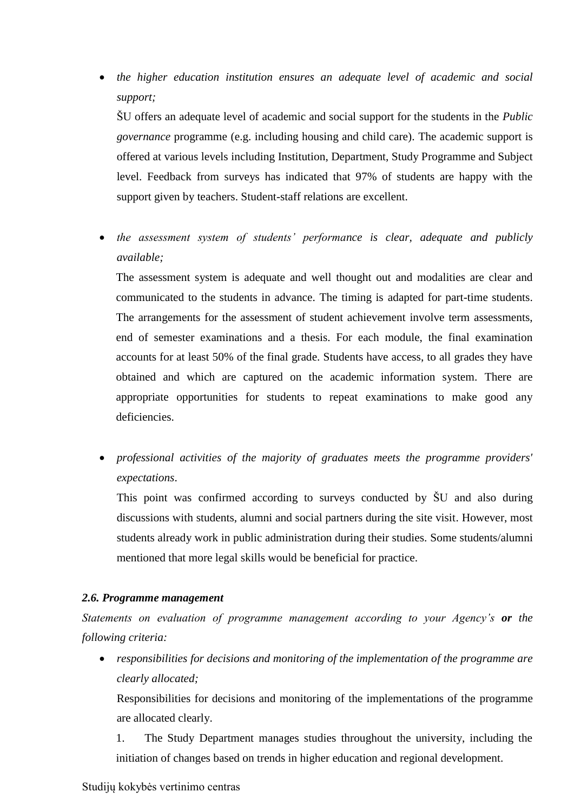*the higher education institution ensures an adequate level of academic and social support;*

ŠU offers an adequate level of academic and social support for the students in the *Public governance* programme (e.g. including housing and child care). The academic support is offered at various levels including Institution, Department, Study Programme and Subject level. Feedback from surveys has indicated that 97% of students are happy with the support given by teachers. Student-staff relations are excellent.

• *the assessment system of students' performance is clear, adequate and publicly available;*

The assessment system is adequate and well thought out and modalities are clear and communicated to the students in advance. The timing is adapted for part-time students. The arrangements for the assessment of student achievement involve term assessments, end of semester examinations and a thesis. For each module, the final examination accounts for at least 50% of the final grade. Students have access, to all grades they have obtained and which are captured on the academic information system. There are appropriate opportunities for students to repeat examinations to make good any deficiencies.

 *professional activities of the majority of graduates meets the programme providers' expectations*.

This point was confirmed according to surveys conducted by ŠU and also during discussions with students, alumni and social partners during the site visit. However, most students already work in public administration during their studies. Some students/alumni mentioned that more legal skills would be beneficial for practice.

## <span id="page-14-0"></span>*2.6. Programme management*

*Statements on evaluation of programme management according to your Agency's or the following criteria:*

 *responsibilities for decisions and monitoring of the implementation of the programme are clearly allocated;*

Responsibilities for decisions and monitoring of the implementations of the programme are allocated clearly.

1. The Study Department manages studies throughout the university, including the initiation of changes based on trends in higher education and regional development.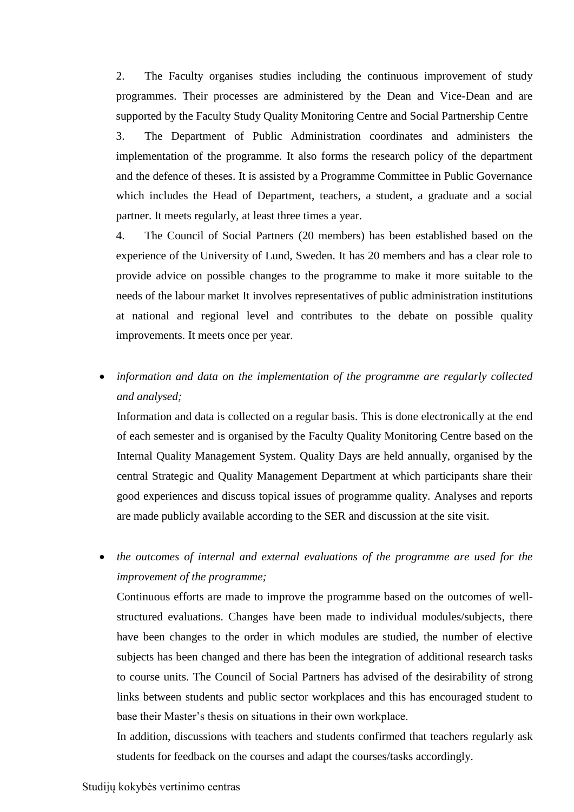2. The Faculty organises studies including the continuous improvement of study programmes. Their processes are administered by the Dean and Vice-Dean and are supported by the Faculty Study Quality Monitoring Centre and Social Partnership Centre 3. The Department of Public Administration coordinates and administers the implementation of the programme. It also forms the research policy of the department and the defence of theses. It is assisted by a Programme Committee in Public Governance which includes the Head of Department, teachers, a student, a graduate and a social partner. It meets regularly, at least three times a year.

4. The Council of Social Partners (20 members) has been established based on the experience of the University of Lund, Sweden. It has 20 members and has a clear role to provide advice on possible changes to the programme to make it more suitable to the needs of the labour market It involves representatives of public administration institutions at national and regional level and contributes to the debate on possible quality improvements. It meets once per year.

 *information and data on the implementation of the programme are regularly collected and analysed;*

Information and data is collected on a regular basis. This is done electronically at the end of each semester and is organised by the Faculty Quality Monitoring Centre based on the Internal Quality Management System. Quality Days are held annually, organised by the central Strategic and Quality Management Department at which participants share their good experiences and discuss topical issues of programme quality. Analyses and reports are made publicly available according to the SER and discussion at the site visit.

 *the outcomes of internal and external evaluations of the programme are used for the improvement of the programme;*

Continuous efforts are made to improve the programme based on the outcomes of wellstructured evaluations. Changes have been made to individual modules/subjects, there have been changes to the order in which modules are studied, the number of elective subjects has been changed and there has been the integration of additional research tasks to course units. The Council of Social Partners has advised of the desirability of strong links between students and public sector workplaces and this has encouraged student to base their Master's thesis on situations in their own workplace.

In addition, discussions with teachers and students confirmed that teachers regularly ask students for feedback on the courses and adapt the courses/tasks accordingly.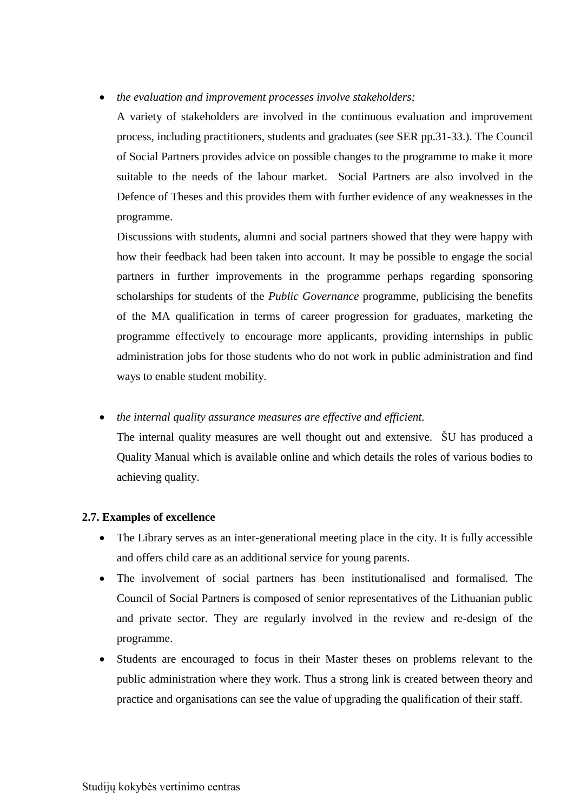## *the evaluation and improvement processes involve stakeholders;*

A variety of stakeholders are involved in the continuous evaluation and improvement process, including practitioners, students and graduates (see SER pp.31-33.). The Council of Social Partners provides advice on possible changes to the programme to make it more suitable to the needs of the labour market. Social Partners are also involved in the Defence of Theses and this provides them with further evidence of any weaknesses in the programme.

Discussions with students, alumni and social partners showed that they were happy with how their feedback had been taken into account. It may be possible to engage the social partners in further improvements in the programme perhaps regarding sponsoring scholarships for students of the *Public Governance* programme, publicising the benefits of the MA qualification in terms of career progression for graduates, marketing the programme effectively to encourage more applicants, providing internships in public administration jobs for those students who do not work in public administration and find ways to enable student mobility.

## *the internal quality assurance measures are effective and efficient.*

The internal quality measures are well thought out and extensive. ŠU has produced a Quality Manual which is available online and which details the roles of various bodies to achieving quality.

## <span id="page-16-0"></span>**2.7. Examples of excellence**

- The Library serves as an inter-generational meeting place in the city. It is fully accessible and offers child care as an additional service for young parents.
- The involvement of social partners has been institutionalised and formalised. The Council of Social Partners is composed of senior representatives of the Lithuanian public and private sector. They are regularly involved in the review and re-design of the programme.
- Students are encouraged to focus in their Master theses on problems relevant to the public administration where they work. Thus a strong link is created between theory and practice and organisations can see the value of upgrading the qualification of their staff.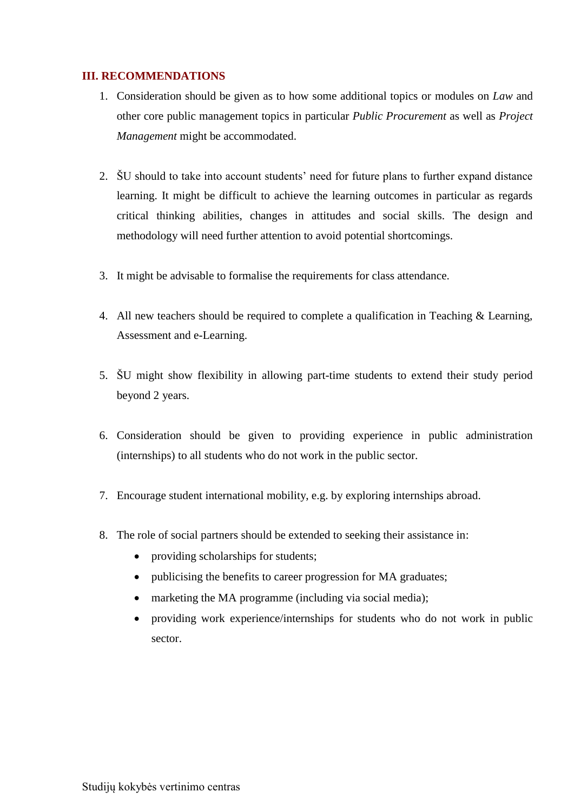## <span id="page-17-0"></span>**III. RECOMMENDATIONS**

- 1. Consideration should be given as to how some additional topics or modules on *Law* and other core public management topics in particular *Public Procurement* as well as *Project Management* might be accommodated.
- 2. ŠU should to take into account students' need for future plans to further expand distance learning. It might be difficult to achieve the learning outcomes in particular as regards critical thinking abilities, changes in attitudes and social skills. The design and methodology will need further attention to avoid potential shortcomings.
- 3. It might be advisable to formalise the requirements for class attendance.
- 4. All new teachers should be required to complete a qualification in Teaching & Learning, Assessment and e-Learning.
- 5. ŠU might show flexibility in allowing part-time students to extend their study period beyond 2 years.
- 6. Consideration should be given to providing experience in public administration (internships) to all students who do not work in the public sector.
- 7. Encourage student international mobility, e.g. by exploring internships abroad.
- 8. The role of social partners should be extended to seeking their assistance in:
	- providing scholarships for students;
	- publicising the benefits to career progression for MA graduates;
	- marketing the MA programme (including via social media);
	- providing work experience/internships for students who do not work in public sector.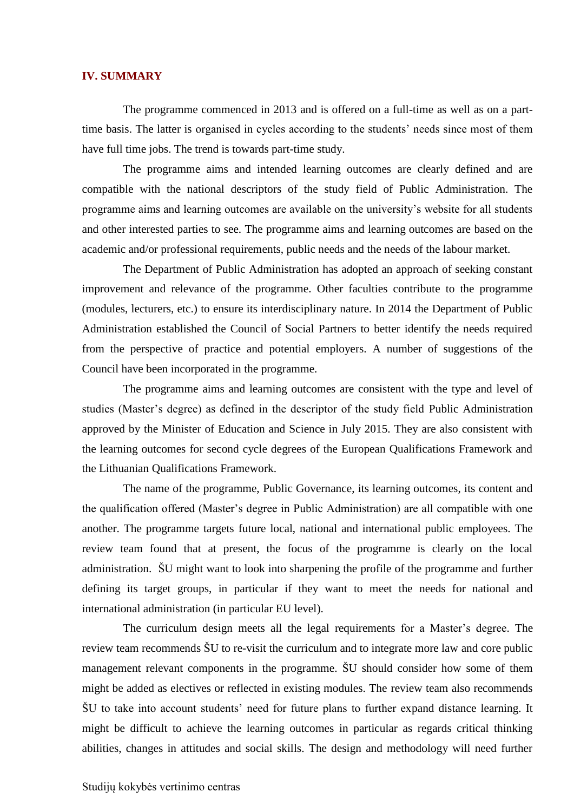#### <span id="page-18-0"></span>**IV. SUMMARY**

The programme commenced in 2013 and is offered on a full-time as well as on a parttime basis. The latter is organised in cycles according to the students' needs since most of them have full time jobs. The trend is towards part-time study.

The programme aims and intended learning outcomes are clearly defined and are compatible with the national descriptors of the study field of Public Administration. The programme aims and learning outcomes are available on the university's website for all students and other interested parties to see. The programme aims and learning outcomes are based on the academic and/or professional requirements, public needs and the needs of the labour market.

The Department of Public Administration has adopted an approach of seeking constant improvement and relevance of the programme. Other faculties contribute to the programme (modules, lecturers, etc.) to ensure its interdisciplinary nature. In 2014 the Department of Public Administration established the Council of Social Partners to better identify the needs required from the perspective of practice and potential employers. A number of suggestions of the Council have been incorporated in the programme.

The programme aims and learning outcomes are consistent with the type and level of studies (Master's degree) as defined in the descriptor of the study field Public Administration approved by the Minister of Education and Science in July 2015. They are also consistent with the learning outcomes for second cycle degrees of the European Qualifications Framework and the Lithuanian Qualifications Framework.

The name of the programme, Public Governance, its learning outcomes, its content and the qualification offered (Master's degree in Public Administration) are all compatible with one another. The programme targets future local, national and international public employees. The review team found that at present, the focus of the programme is clearly on the local administration. ŠU might want to look into sharpening the profile of the programme and further defining its target groups, in particular if they want to meet the needs for national and international administration (in particular EU level).

The curriculum design meets all the legal requirements for a Master's degree. The review team recommends ŠU to re-visit the curriculum and to integrate more law and core public management relevant components in the programme. ŠU should consider how some of them might be added as electives or reflected in existing modules. The review team also recommends ŠU to take into account students' need for future plans to further expand distance learning. It might be difficult to achieve the learning outcomes in particular as regards critical thinking abilities, changes in attitudes and social skills. The design and methodology will need further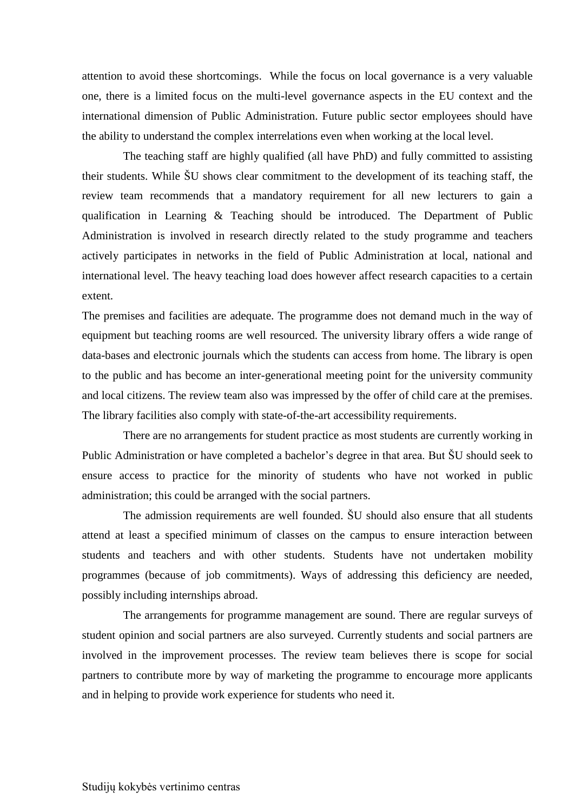attention to avoid these shortcomings. While the focus on local governance is a very valuable one, there is a limited focus on the multi-level governance aspects in the EU context and the international dimension of Public Administration. Future public sector employees should have the ability to understand the complex interrelations even when working at the local level.

The teaching staff are highly qualified (all have PhD) and fully committed to assisting their students. While ŠU shows clear commitment to the development of its teaching staff, the review team recommends that a mandatory requirement for all new lecturers to gain a qualification in Learning & Teaching should be introduced. The Department of Public Administration is involved in research directly related to the study programme and teachers actively participates in networks in the field of Public Administration at local, national and international level. The heavy teaching load does however affect research capacities to a certain extent.

The premises and facilities are adequate. The programme does not demand much in the way of equipment but teaching rooms are well resourced. The university library offers a wide range of data-bases and electronic journals which the students can access from home. The library is open to the public and has become an inter-generational meeting point for the university community and local citizens. The review team also was impressed by the offer of child care at the premises. The library facilities also comply with state-of-the-art accessibility requirements.

There are no arrangements for student practice as most students are currently working in Public Administration or have completed a bachelor's degree in that area. But ŠU should seek to ensure access to practice for the minority of students who have not worked in public administration; this could be arranged with the social partners.

The admission requirements are well founded. ŠU should also ensure that all students attend at least a specified minimum of classes on the campus to ensure interaction between students and teachers and with other students. Students have not undertaken mobility programmes (because of job commitments). Ways of addressing this deficiency are needed, possibly including internships abroad.

The arrangements for programme management are sound. There are regular surveys of student opinion and social partners are also surveyed. Currently students and social partners are involved in the improvement processes. The review team believes there is scope for social partners to contribute more by way of marketing the programme to encourage more applicants and in helping to provide work experience for students who need it.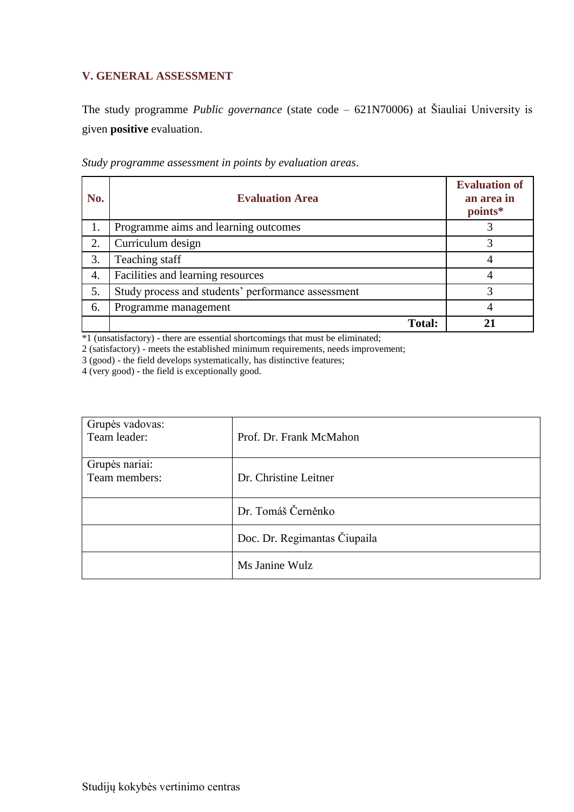## <span id="page-20-0"></span>**V. GENERAL ASSESSMENT**

The study programme *Public governance* (state code – 621N70006) at Šiauliai University is given **positive** evaluation.

| No. | <b>Evaluation Area</b>                             | <b>Evaluation of</b><br>an area in<br>points* |
|-----|----------------------------------------------------|-----------------------------------------------|
| 1.  | Programme aims and learning outcomes               |                                               |
| 2.  | Curriculum design                                  |                                               |
| 3.  | Teaching staff                                     |                                               |
| 4.  | Facilities and learning resources                  |                                               |
| 5.  | Study process and students' performance assessment | 3                                             |
| 6.  | Programme management                               |                                               |
|     | <b>Total:</b>                                      |                                               |

*Study programme assessment in points by evaluation areas*.

\*1 (unsatisfactory) - there are essential shortcomings that must be eliminated;

2 (satisfactory) - meets the established minimum requirements, needs improvement;

3 (good) - the field develops systematically, has distinctive features;

4 (very good) - the field is exceptionally good.

| Grupės vadovas:<br>Team leader: | Prof. Dr. Frank McMahon      |
|---------------------------------|------------------------------|
| Grupės nariai:<br>Team members: | Dr. Christine Leitner        |
|                                 | Dr. Tomáš Černěnko           |
|                                 | Doc. Dr. Regimantas Čiupaila |
|                                 | Ms Janine Wulz               |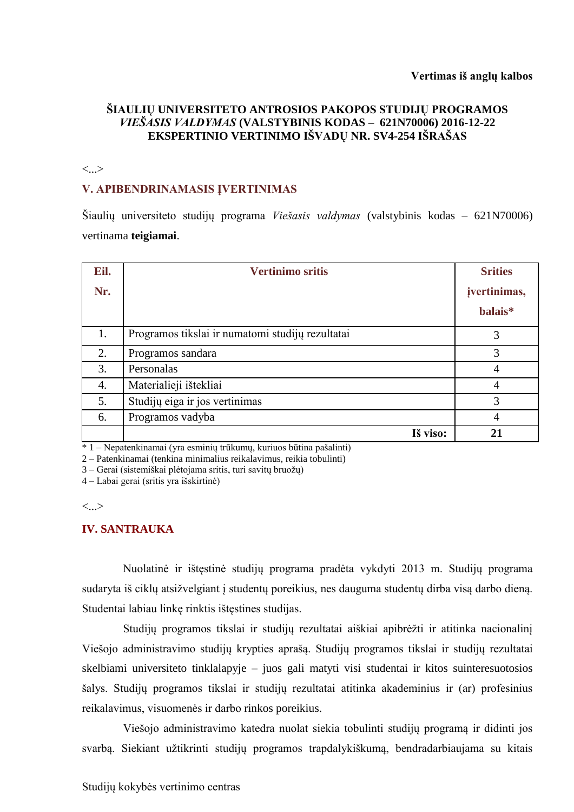## **ŠIAULIŲ UNIVERSITETO ANTROSIOS PAKOPOS STUDIJŲ PROGRAMOS**  *VIEŠASIS VALDYMAS* **(VALSTYBINIS KODAS – 621N70006) 2016-12-22 EKSPERTINIO VERTINIMO IŠVADŲ NR. SV4-254 IŠRAŠAS**

#### <...>

## **V. APIBENDRINAMASIS ĮVERTINIMAS**

Šiaulių universiteto studijų programa *Viešasis valdymas* (valstybinis kodas – 621N70006) vertinama **teigiamai**.

| Eil. | <b>Vertinimo sritis</b>                          | <b>Srities</b> |
|------|--------------------------------------------------|----------------|
| Nr.  |                                                  | jvertinimas,   |
|      |                                                  | balais*        |
| 1.   | Programos tikslai ir numatomi studijų rezultatai | 3              |
| 2.   | Programos sandara                                | 3              |
| 3.   | Personalas                                       |                |
| 4.   | Materialieji ištekliai                           | 4              |
| 5.   | Studijų eiga ir jos vertinimas                   | 3              |
| 6.   | Programos vadyba                                 | 4              |
|      | Iš viso:                                         | 21             |

\* 1 – Nepatenkinamai (yra esminių trūkumų, kuriuos būtina pašalinti)

2 – Patenkinamai (tenkina minimalius reikalavimus, reikia tobulinti)

3 – Gerai (sistemiškai plėtojama sritis, turi savitų bruožų)

4 – Labai gerai (sritis yra išskirtinė)

#### <...>

## **IV. SANTRAUKA**

Nuolatinė ir ištęstinė studijų programa pradėta vykdyti 2013 m. Studijų programa sudaryta iš ciklų atsižvelgiant į studentų poreikius, nes dauguma studentų dirba visą darbo dieną. Studentai labiau linkę rinktis ištęstines studijas.

Studijų programos tikslai ir studijų rezultatai aiškiai apibrėžti ir atitinka nacionalinį Viešojo administravimo studijų krypties aprašą. Studijų programos tikslai ir studijų rezultatai skelbiami universiteto tinklalapyje – juos gali matyti visi studentai ir kitos suinteresuotosios šalys. Studijų programos tikslai ir studijų rezultatai atitinka akademinius ir (ar) profesinius reikalavimus, visuomenės ir darbo rinkos poreikius.

Viešojo administravimo katedra nuolat siekia tobulinti studijų programą ir didinti jos svarbą. Siekiant užtikrinti studijų programos trapdalykiškumą, bendradarbiaujama su kitais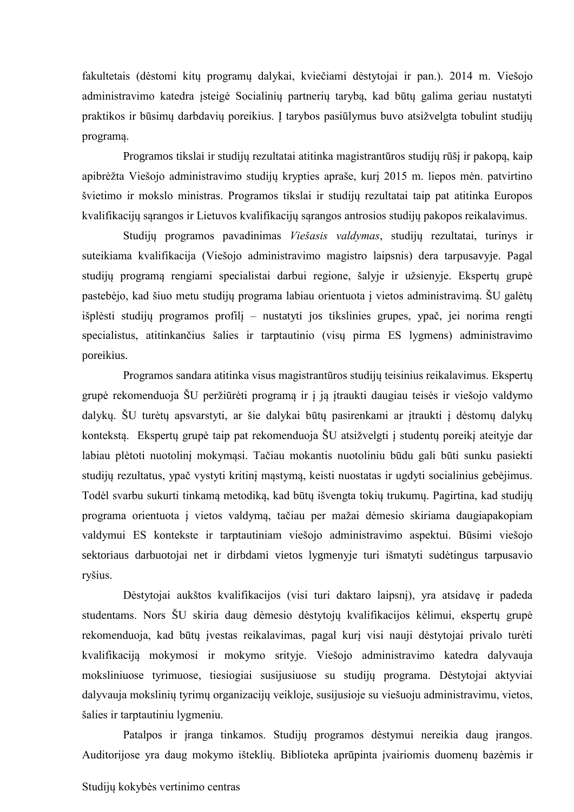fakultetais (dėstomi kitų programų dalykai, kviečiami dėstytojai ir pan.). 2014 m. Viešojo administravimo katedra įsteigė Socialinių partnerių tarybą, kad būtų galima geriau nustatyti praktikos ir būsimų darbdavių poreikius. Į tarybos pasiūlymus buvo atsižvelgta tobulint studijų programą.

Programos tikslai ir studijų rezultatai atitinka magistrantūros studijų rūšį ir pakopą, kaip apibrėžta Viešojo administravimo studijų krypties apraše, kurį 2015 m. liepos mėn. patvirtino švietimo ir mokslo ministras. Programos tikslai ir studijų rezultatai taip pat atitinka Europos kvalifikacijų sąrangos ir Lietuvos kvalifikacijų sąrangos antrosios studijų pakopos reikalavimus.

Studijų programos pavadinimas *Viešasis valdymas*, studijų rezultatai, turinys ir suteikiama kvalifikacija (Viešojo administravimo magistro laipsnis) dera tarpusavyje. Pagal studijų programą rengiami specialistai darbui regione, šalyje ir užsienyje. Ekspertų grupė pastebėjo, kad šiuo metu studijų programa labiau orientuota į vietos administravimą. ŠU galėtų išplėsti studijų programos profilį – nustatyti jos tikslinies grupes, ypač, jei norima rengti specialistus, atitinkančius šalies ir tarptautinio (visų pirma ES lygmens) administravimo poreikius.

Programos sandara atitinka visus magistrantūros studijų teisinius reikalavimus. Ekspertų grupė rekomenduoja ŠU peržiūrėti programą ir į ją įtraukti daugiau teisės ir viešojo valdymo dalykų. ŠU turėtų apsvarstyti, ar šie dalykai būtų pasirenkami ar įtraukti į dėstomų dalykų kontekstą. Ekspertų grupė taip pat rekomenduoja ŠU atsižvelgti į studentų poreikį ateityje dar labiau plėtoti nuotolinį mokymąsi. Tačiau mokantis nuotoliniu būdu gali būti sunku pasiekti studijų rezultatus, ypač vystyti kritinį mąstymą, keisti nuostatas ir ugdyti socialinius gebėjimus. Todėl svarbu sukurti tinkamą metodiką, kad būtų išvengta tokių trukumų. Pagirtina, kad studijų programa orientuota į vietos valdymą, tačiau per mažai dėmesio skiriama daugiapakopiam valdymui ES kontekste ir tarptautiniam viešojo administravimo aspektui. Būsimi viešojo sektoriaus darbuotojai net ir dirbdami vietos lygmenyje turi išmatyti sudėtingus tarpusavio ryšius.

Dėstytojai aukštos kvalifikacijos (visi turi daktaro laipsnį), yra atsidavę ir padeda studentams. Nors ŠU skiria daug dėmesio dėstytojų kvalifikacijos kėlimui, ekspertų grupė rekomenduoja, kad būtų įvestas reikalavimas, pagal kurį visi nauji dėstytojai privalo turėti kvalifikaciją mokymosi ir mokymo srityje. Viešojo administravimo katedra dalyvauja moksliniuose tyrimuose, tiesiogiai susijusiuose su studijų programa. Dėstytojai aktyviai dalyvauja mokslinių tyrimų organizacijų veikloje, susijusioje su viešuoju administravimu, vietos, šalies ir tarptautiniu lygmeniu.

Patalpos ir įranga tinkamos. Studijų programos dėstymui nereikia daug įrangos. Auditorijose yra daug mokymo išteklių. Biblioteka aprūpinta įvairiomis duomenų bazėmis ir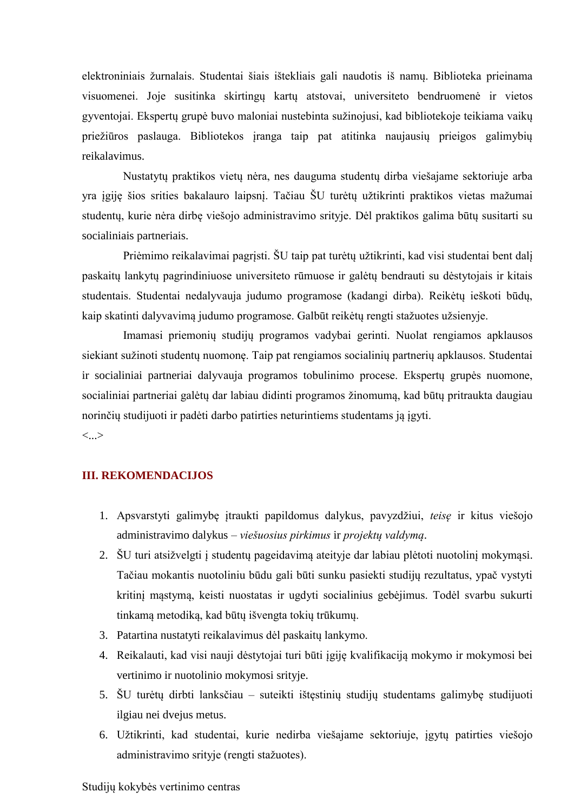elektroniniais žurnalais. Studentai šiais ištekliais gali naudotis iš namų. Biblioteka prieinama visuomenei. Joje susitinka skirtingų kartų atstovai, universiteto bendruomenė ir vietos gyventojai. Ekspertų grupė buvo maloniai nustebinta sužinojusi, kad bibliotekoje teikiama vaikų priežiūros paslauga. Bibliotekos įranga taip pat atitinka naujausių prieigos galimybių reikalavimus.

Nustatytų praktikos vietų nėra, nes dauguma studentų dirba viešajame sektoriuje arba yra įgiję šios srities bakalauro laipsnį. Tačiau ŠU turėtų užtikrinti praktikos vietas mažumai studentų, kurie nėra dirbę viešojo administravimo srityje. Dėl praktikos galima būtų susitarti su socialiniais partneriais.

Priėmimo reikalavimai pagrįsti. ŠU taip pat turėtų užtikrinti, kad visi studentai bent dalį paskaitų lankytų pagrindiniuose universiteto rūmuose ir galėtų bendrauti su dėstytojais ir kitais studentais. Studentai nedalyvauja judumo programose (kadangi dirba). Reikėtų ieškoti būdų, kaip skatinti dalyvavimą judumo programose. Galbūt reikėtų rengti stažuotes užsienyje.

Imamasi priemonių studijų programos vadybai gerinti. Nuolat rengiamos apklausos siekiant sužinoti studentų nuomonę. Taip pat rengiamos socialinių partnerių apklausos. Studentai ir socialiniai partneriai dalyvauja programos tobulinimo procese. Ekspertų grupės nuomone, socialiniai partneriai galėtų dar labiau didinti programos žinomumą, kad būtų pritraukta daugiau norinčių studijuoti ir padėti darbo patirties neturintiems studentams ją įgyti.

<...>

## **III. REKOMENDACIJOS**

- 1. Apsvarstyti galimybę įtraukti papildomus dalykus, pavyzdžiui, *teisę* ir kitus viešojo administravimo dalykus – *viešuosius pirkimus* ir *projektų valdymą*.
- 2. ŠU turi atsižvelgti į studentų pageidavimą ateityje dar labiau plėtoti nuotolinį mokymąsi. Tačiau mokantis nuotoliniu būdu gali būti sunku pasiekti studijų rezultatus, ypač vystyti kritinį mąstymą, keisti nuostatas ir ugdyti socialinius gebėjimus. Todėl svarbu sukurti tinkamą metodiką, kad būtų išvengta tokių trūkumų.
- 3. Patartina nustatyti reikalavimus dėl paskaitų lankymo.
- 4. Reikalauti, kad visi nauji dėstytojai turi būti įgiję kvalifikaciją mokymo ir mokymosi bei vertinimo ir nuotolinio mokymosi srityje.
- 5. ŠU turėtų dirbti lanksčiau suteikti ištęstinių studijų studentams galimybę studijuoti ilgiau nei dvejus metus.
- 6. Užtikrinti, kad studentai, kurie nedirba viešajame sektoriuje, įgytų patirties viešojo administravimo srityje (rengti stažuotes).